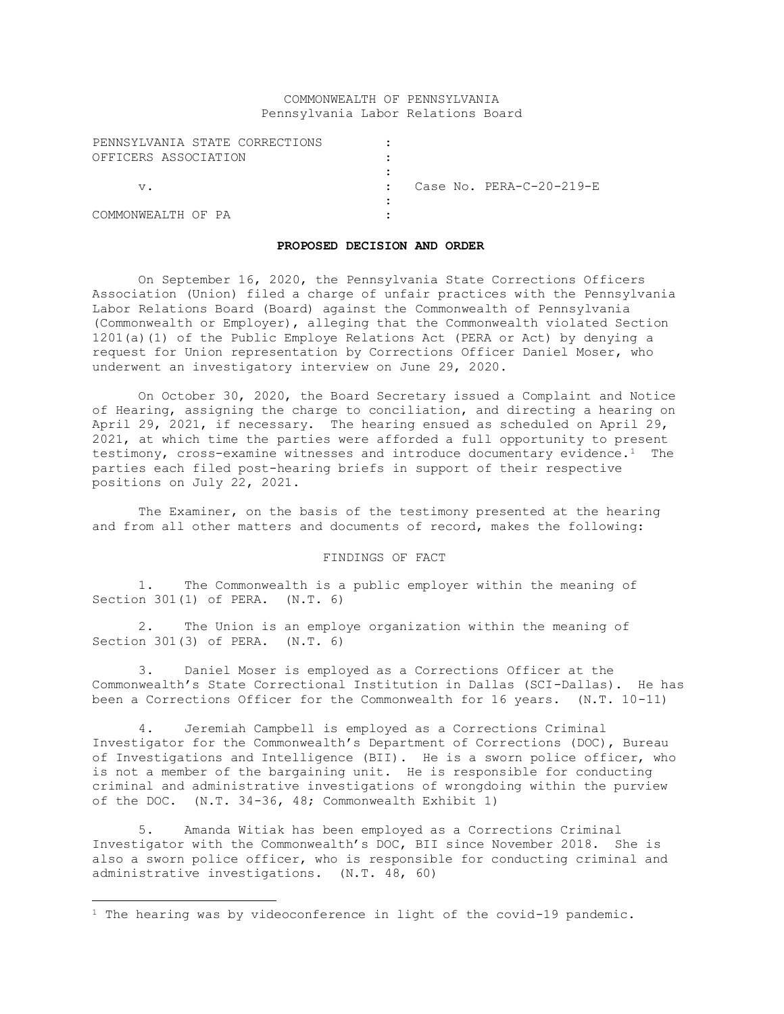#### COMMONWEALTH OF PENNSYLVANIA Pennsylvania Labor Relations Board

| PENNSYLVANIA STATE CORRECTIONS |  |                            |
|--------------------------------|--|----------------------------|
| OFFICERS ASSOCIATION           |  |                            |
|                                |  |                            |
| V.                             |  | Case No. $PERA-C-20-219-E$ |
|                                |  |                            |
| COMMONWEALTH OF PA             |  |                            |

#### **PROPOSED DECISION AND ORDER**

On September 16, 2020, the Pennsylvania State Corrections Officers Association (Union) filed a charge of unfair practices with the Pennsylvania Labor Relations Board (Board) against the Commonwealth of Pennsylvania (Commonwealth or Employer), alleging that the Commonwealth violated Section 1201(a)(1) of the Public Employe Relations Act (PERA or Act) by denying a request for Union representation by Corrections Officer Daniel Moser, who underwent an investigatory interview on June 29, 2020.

On October 30, 2020, the Board Secretary issued a Complaint and Notice of Hearing, assigning the charge to conciliation, and directing a hearing on April 29, 2021, if necessary. The hearing ensued as scheduled on April 29, 2021, at which time the parties were afforded a full opportunity to present testimony, cross-examine witnesses and introduce documentary evidence.<sup>1</sup> The parties each filed post-hearing briefs in support of their respective positions on July 22, 2021.

The Examiner, on the basis of the testimony presented at the hearing and from all other matters and documents of record, makes the following:

# FINDINGS OF FACT

1. The Commonwealth is a public employer within the meaning of Section 301(1) of PERA. (N.T. 6)

2. The Union is an employe organization within the meaning of Section 301(3) of PERA. (N.T. 6)

3. Daniel Moser is employed as a Corrections Officer at the Commonwealth's State Correctional Institution in Dallas (SCI-Dallas). He has been a Corrections Officer for the Commonwealth for 16 years. (N.T. 10-11)

4. Jeremiah Campbell is employed as a Corrections Criminal Investigator for the Commonwealth's Department of Corrections (DOC), Bureau of Investigations and Intelligence (BII). He is a sworn police officer, who is not a member of the bargaining unit. He is responsible for conducting criminal and administrative investigations of wrongdoing within the purview of the DOC. (N.T. 34-36, 48; Commonwealth Exhibit 1)

5. Amanda Witiak has been employed as a Corrections Criminal Investigator with the Commonwealth's DOC, BII since November 2018. She is also a sworn police officer, who is responsible for conducting criminal and administrative investigations. (N.T. 48, 60)

<sup>&</sup>lt;sup>1</sup> The hearing was by videoconference in light of the covid-19 pandemic.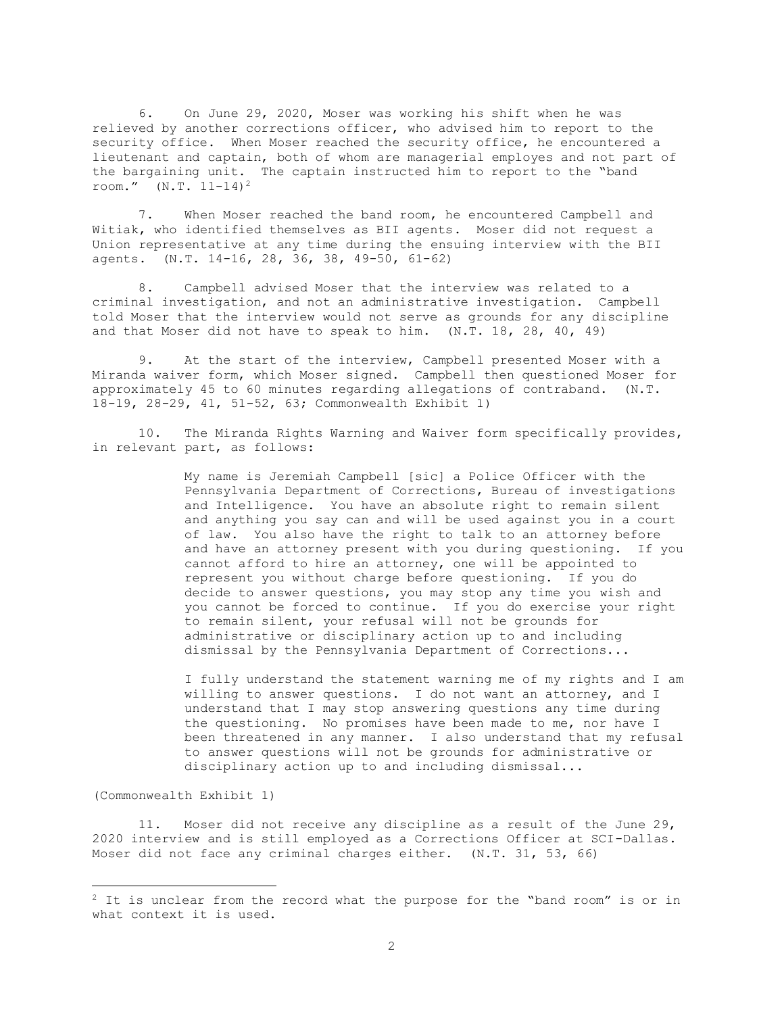6. On June 29, 2020, Moser was working his shift when he was relieved by another corrections officer, who advised him to report to the security office. When Moser reached the security office, he encountered a lieutenant and captain, both of whom are managerial employes and not part of the bargaining unit. The captain instructed him to report to the "band room."  $(N.T. 11-14)^2$ 

7. When Moser reached the band room, he encountered Campbell and Witiak, who identified themselves as BII agents. Moser did not request a Union representative at any time during the ensuing interview with the BII agents. (N.T. 14-16, 28, 36, 38, 49-50, 61-62)

8. Campbell advised Moser that the interview was related to a criminal investigation, and not an administrative investigation. Campbell told Moser that the interview would not serve as grounds for any discipline and that Moser did not have to speak to him. (N.T. 18, 28, 40, 49)

9. At the start of the interview, Campbell presented Moser with a Miranda waiver form, which Moser signed. Campbell then questioned Moser for approximately 45 to 60 minutes regarding allegations of contraband. (N.T. 18-19, 28-29, 41, 51-52, 63; Commonwealth Exhibit 1)

10. The Miranda Rights Warning and Waiver form specifically provides, in relevant part, as follows:

> My name is Jeremiah Campbell [sic] a Police Officer with the Pennsylvania Department of Corrections, Bureau of investigations and Intelligence. You have an absolute right to remain silent and anything you say can and will be used against you in a court of law. You also have the right to talk to an attorney before and have an attorney present with you during questioning. If you cannot afford to hire an attorney, one will be appointed to represent you without charge before questioning. If you do decide to answer questions, you may stop any time you wish and you cannot be forced to continue. If you do exercise your right to remain silent, your refusal will not be grounds for administrative or disciplinary action up to and including dismissal by the Pennsylvania Department of Corrections...

> I fully understand the statement warning me of my rights and I am willing to answer questions. I do not want an attorney, and I understand that I may stop answering questions any time during the questioning. No promises have been made to me, nor have I been threatened in any manner. I also understand that my refusal to answer questions will not be grounds for administrative or disciplinary action up to and including dismissal...

# (Commonwealth Exhibit 1)

11. Moser did not receive any discipline as a result of the June 29, 2020 interview and is still employed as a Corrections Officer at SCI-Dallas. Moser did not face any criminal charges either. (N.T. 31, 53, 66)

 $2$  It is unclear from the record what the purpose for the "band room" is or in what context it is used.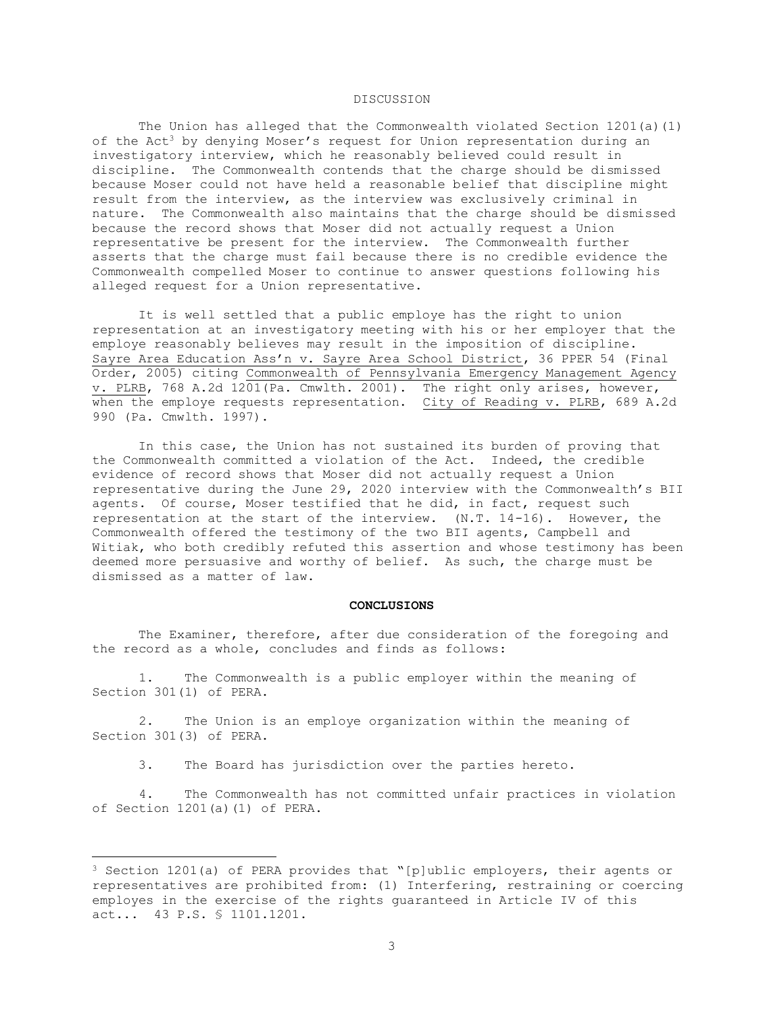# DISCUSSION

The Union has alleged that the Commonwealth violated Section 1201(a)(1) of the Act<sup>3</sup> by denying Moser's request for Union representation during an investigatory interview, which he reasonably believed could result in discipline. The Commonwealth contends that the charge should be dismissed because Moser could not have held a reasonable belief that discipline might result from the interview, as the interview was exclusively criminal in nature. The Commonwealth also maintains that the charge should be dismissed because the record shows that Moser did not actually request a Union representative be present for the interview. The Commonwealth further asserts that the charge must fail because there is no credible evidence the Commonwealth compelled Moser to continue to answer questions following his alleged request for a Union representative.

It is well settled that a public employe has the right to union representation at an investigatory meeting with his or her employer that the employe reasonably believes may result in the imposition of discipline. Sayre Area Education Ass'n v. Sayre Area School District, 36 PPER 54 (Final Order, 2005) citing Commonwealth of Pennsylvania Emergency Management Agency v. PLRB, 768 A.2d 1201(Pa. Cmwlth. 2001). The right only arises, however, when the employe requests representation. City of Reading v. PLRB, 689 A.2d 990 (Pa. Cmwlth. 1997).

In this case, the Union has not sustained its burden of proving that the Commonwealth committed a violation of the Act. Indeed, the credible evidence of record shows that Moser did not actually request a Union representative during the June 29, 2020 interview with the Commonwealth's BII agents. Of course, Moser testified that he did, in fact, request such representation at the start of the interview. (N.T. 14-16). However, the Commonwealth offered the testimony of the two BII agents, Campbell and Witiak, who both credibly refuted this assertion and whose testimony has been deemed more persuasive and worthy of belief. As such, the charge must be dismissed as a matter of law.

#### **CONCLUSIONS**

The Examiner, therefore, after due consideration of the foregoing and the record as a whole, concludes and finds as follows:

 1. The Commonwealth is a public employer within the meaning of Section 301(1) of PERA.

 2. The Union is an employe organization within the meaning of Section 301(3) of PERA.

3. The Board has jurisdiction over the parties hereto.

 4. The Commonwealth has not committed unfair practices in violation of Section 1201(a)(1) of PERA.

<sup>3</sup> Section 1201(a) of PERA provides that "[p]ublic employers, their agents or representatives are prohibited from: (1) Interfering, restraining or coercing employes in the exercise of the rights guaranteed in Article IV of this act... 43 P.S. § 1101.1201.